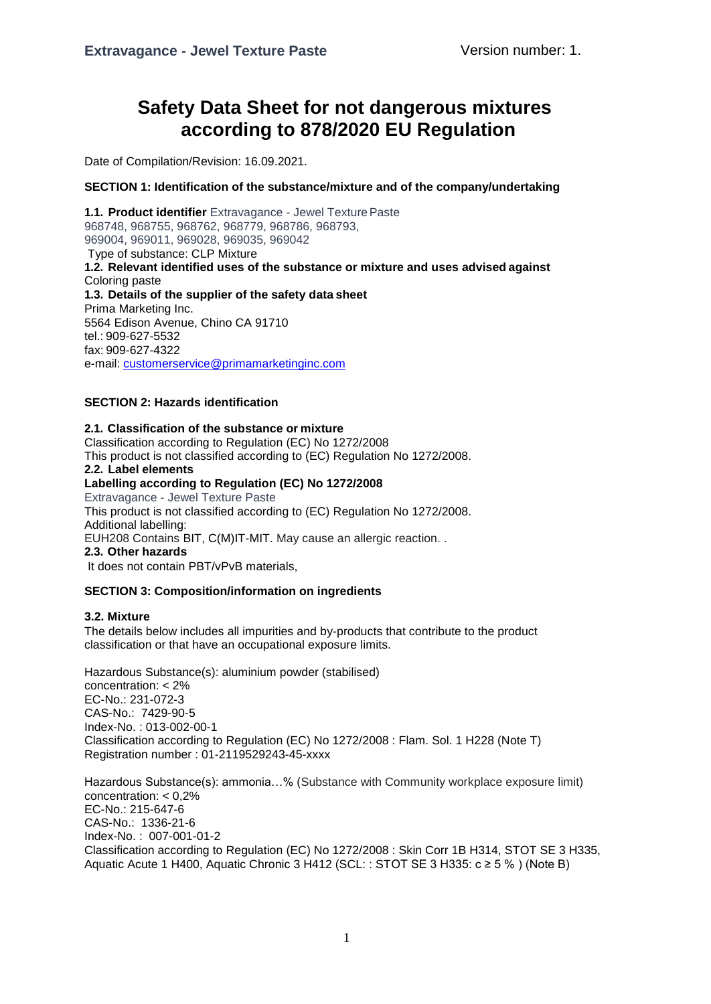# **Safety Data Sheet for not dangerous mixtures according to 878/2020 EU Regulation**

Date of Compilation/Revision: 16.09.2021.

### **SECTION 1: Identification of the substance/mixture and of the company/undertaking**

1.1. Product identifier Extravagance - Jewel Texture Paste 968748, 968755, 968762, 968779, 968786, 968793, 969004, 969011, 969028, 969035, 969042 Type of substance: CLP Mixture **1.2. Relevant identified uses of the substance or mixture and uses advised against** Coloring paste **1.3. Details of the supplier of the safety data sheet** Prima Marketing Inc. 5564 Edison Avenue, Chino CA 91710 tel.: 909-627-5532 fax: 909-627-4322 e-mail: [customerservice@primamarketinginc.com](mailto:customerservice@primamarketinginc.com)

## **SECTION 2: Hazards identification**

#### **2.1. Classification of the substance or mixture**

Classification according to Regulation (EC) No 1272/2008 This product is not classified according to (EC) Regulation No 1272/2008. **2.2. Label elements**

#### **Labelling according to Regulation (EC) No 1272/2008**

Extravagance - Jewel Texture Paste

This product is not classified according to (EC) Regulation No 1272/2008. Additional labelling:

EUH208 Contains BIT, C(M)IT-MIT. May cause an allergic reaction. .

#### **2.3. Other hazards**

It does not contain PBT/vPvB materials,

### **SECTION 3: Composition/information on ingredients**

#### **3.2. Mixture**

The details below includes all impurities and by-products that contribute to the product classification or that have an occupational exposure limits.

Hazardous Substance(s): aluminium powder (stabilised) concentration: < 2% EC-No.: 231-072-3 CAS-No.: 7429-90-5 Index-No. : 013-002-00-1 Classification according to Regulation (EC) No 1272/2008 : Flam. Sol. 1 H228 (Note T) Registration number : 01-2119529243-45-xxxx

Hazardous Substance(s): ammonia…% (Substance with Community workplace exposure limit) concentration: < 0,2% EC-No.: 215-647-6 CAS-No.: 1336-21-6 Index-No. : 007-001-01-2 Classification according to Regulation (EC) No 1272/2008 : Skin Corr 1B H314, STOT SE 3 H335, Aquatic Acute 1 H400, Aquatic Chronic 3 H412 (SCL: : STOT SE 3 H335:  $c \ge 5$  %) (Note B)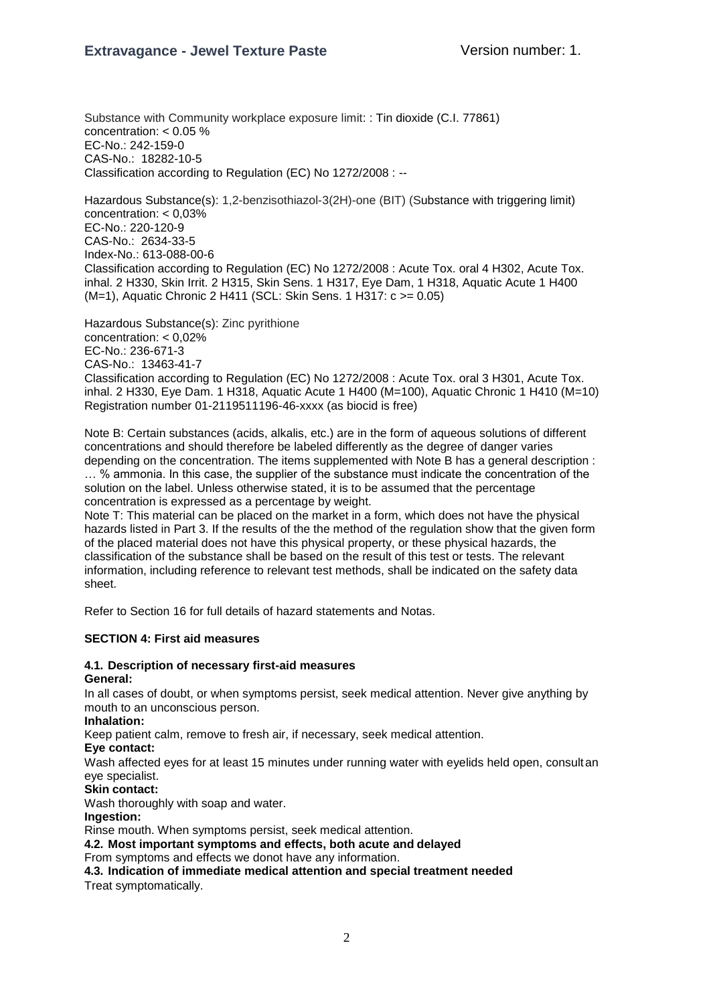Substance with Community workplace exposure limit: : Tin dioxide (C.I. 77861) concentration: < 0.05 % EC-No.: 242-159-0 CAS-No.: 18282-10-5 Classification according to Regulation (EC) No 1272/2008 : --

Hazardous Substance(s): 1,2-benzisothiazol-3(2H)-one (BIT) (Substance with triggering limit) concentration: < 0,03% EC-No.: 220-120-9 CAS-No.: 2634-33-5 Index-No.: 613-088-00-6 Classification according to Regulation (EC) No 1272/2008 : Acute Tox. oral 4 H302, Acute Tox. inhal. 2 H330, Skin Irrit. 2 H315, Skin Sens. 1 H317, Eye Dam, 1 H318, Aquatic Acute 1 H400 (M=1), Aquatic Chronic 2 H411 (SCL: Skin Sens. 1 H317: c >= 0.05)

Hazardous Substance(s): Zinc pyrithione concentration: < 0,02% EC-No.: 236-671-3 CAS-No.: 13463-41-7 Classification according to Regulation (EC) No 1272/2008 : Acute Tox. oral 3 H301, Acute Tox. inhal. 2 H330, Eye Dam. 1 H318, Aquatic Acute 1 H400 (M=100), Aquatic Chronic 1 H410 (M=10) Registration number 01-2119511196-46-xxxx (as biocid is free)

Note B: Certain substances (acids, alkalis, etc.) are in the form of aqueous solutions of different concentrations and should therefore be labeled differently as the degree of danger varies depending on the concentration. The items supplemented with Note B has a general description : … % ammonia. In this case, the supplier of the substance must indicate the concentration of the solution on the label. Unless otherwise stated, it is to be assumed that the percentage concentration is expressed as a percentage by weight.

Note T: This material can be placed on the market in a form, which does not have the physical hazards listed in Part 3. If the results of the the method of the regulation show that the given form of the placed material does not have this physical property, or these physical hazards, the classification of the substance shall be based on the result of this test or tests. The relevant information, including reference to relevant test methods, shall be indicated on the safety data sheet.

Refer to Section 16 for full details of hazard statements and Notas.

### **SECTION 4: First aid measures**

#### **4.1. Description of necessary first-aid measures General:**

In all cases of doubt, or when symptoms persist, seek medical attention. Never give anything by mouth to an unconscious person.

**Inhalation:**

Keep patient calm, remove to fresh air, if necessary, seek medical attention.

**Eye contact:**

Wash affected eyes for at least 15 minutes under running water with eyelids held open, consultan eye specialist.

**Skin contact:**

Wash thoroughly with soap and water.

#### **Ingestion:**

Rinse mouth. When symptoms persist, seek medical attention.

**4.2. Most important symptoms and effects, both acute and delayed**

From symptoms and effects we donot have any information.

**4.3. Indication of immediate medical attention and special treatment needed** Treat symptomatically.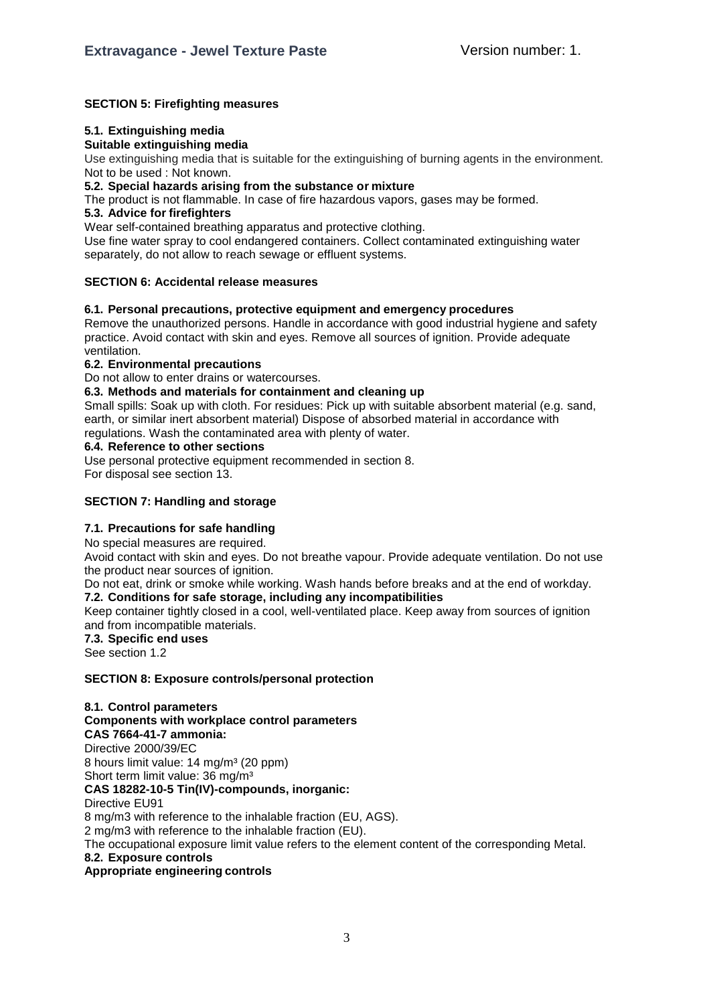## **SECTION 5: Firefighting measures**

### **5.1. Extinguishing media**

### **Suitable extinguishing media**

Use extinguishing media that is suitable for the extinguishing of burning agents in the environment. Not to be used : Not known.

#### **5.2. Special hazards arising from the substance or mixture**

The product is not flammable. In case of fire hazardous vapors, gases may be formed.

#### **5.3. Advice for firefighters**

Wear self-contained breathing apparatus and protective clothing.

Use fine water spray to cool endangered containers. Collect contaminated extinguishing water separately, do not allow to reach sewage or effluent systems.

### **SECTION 6: Accidental release measures**

### **6.1. Personal precautions, protective equipment and emergency procedures**

Remove the unauthorized persons. Handle in accordance with good industrial hygiene and safety practice. Avoid contact with skin and eyes. Remove all sources of ignition. Provide adequate ventilation.

#### **6.2. Environmental precautions**

Do not allow to enter drains or watercourses.

#### **6.3. Methods and materials for containment and cleaning up**

Small spills: Soak up with cloth. For residues: Pick up with suitable absorbent material (e.g. sand, earth, or similar inert absorbent material) Dispose of absorbed material in accordance with regulations. Wash the contaminated area with plenty of water.

#### **6.4. Reference to other sections**

Use personal protective equipment recommended in section 8. For disposal see section 13.

# **SECTION 7: Handling and storage**

# **7.1. Precautions for safe handling**

No special measures are required.

Avoid contact with skin and eyes. Do not breathe vapour. Provide adequate ventilation. Do not use the product near sources of ignition.

Do not eat, drink or smoke while working. Wash hands before breaks and at the end of workday.

### **7.2. Conditions for safe storage, including any incompatibilities**

Keep container tightly closed in a cool, well-ventilated place. Keep away from sources of ignition and from incompatible materials.

#### **7.3. Specific end uses**

See section 1.2

### **SECTION 8: Exposure controls/personal protection**

**8.1. Control parameters Components with workplace control parameters CAS 7664-41-7 ammonia:** Directive 2000/39/EC 8 hours limit value: 14 mg/m<sup>3</sup> (20 ppm) Short term limit value: 36 mg/m<sup>3</sup> **CAS 18282-10-5 Tin(IV)-compounds, inorganic:** Directive EU91 8 mg/m3 with reference to the inhalable fraction (EU, AGS). 2 mg/m3 with reference to the inhalable fraction (EU). The occupational exposure limit value refers to the element content of the corresponding Metal. **8.2. Exposure controls** 

**Appropriate engineering controls**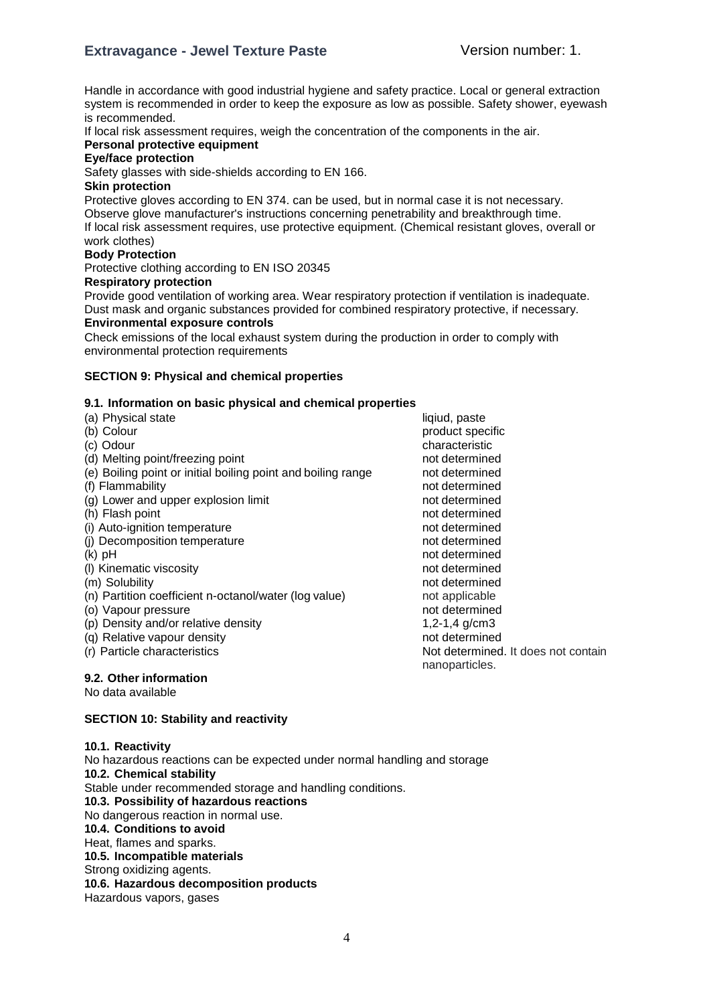# **Extravagance - Jewel Texture Paste** Version number: 1.

Handle in accordance with good industrial hygiene and safety practice. Local or general extraction system is recommended in order to keep the exposure as low as possible. Safety shower, eyewash is recommended.

If local risk assessment requires, weigh the concentration of the components in the air.

# **Personal protective equipment**

# **Eye/face protection**

Safety glasses with side-shields according to EN 166.

#### **Skin protection**

Protective gloves according to EN 374. can be used, but in normal case it is not necessary. Observe glove manufacturer's instructions concerning penetrability and breakthrough time. If local risk assessment requires, use protective equipment. (Chemical resistant gloves, overall or work clothes)

#### **Body Protection**

Protective clothing according to EN ISO 20345

### **Respiratory protection**

Provide good ventilation of working area. Wear respiratory protection if ventilation is inadequate. Dust mask and organic substances provided for combined respiratory protective, if necessary. **Environmental exposure controls**

Check emissions of the local exhaust system during the production in order to comply with environmental protection requirements

#### **SECTION 9: Physical and chemical properties**

## **9.1. Information on basic physical and chemical properties**

- (a) Physical state liqiud, paste
- 
- 
- (d) Melting point/freezing point not determined
- (e) Boiling point or initial boiling point and boiling range not determined
- 
- (g) Lower and upper explosion limit not determined<br>
(h) Flash point not determined
- 
- (i) Auto-ignition temperature not determined<br>(i) Decomposition temperature not determined
- (i) Decomposition temperature
- 
- (I) Kinematic viscosity not determined
- 
- (n) Partition coefficient n-octanol/water (log value) not applicable
- (o) Vapour pressure not determined
- (p) Density and/or relative density  $1,2-1,4$  g/cm3
- (q) Relative vapour density not determined
- 

### **9.2. Other information**

No data available

### **SECTION 10: Stability and reactivity**

### **10.1. Reactivity**

No hazardous reactions can be expected under normal handling and storage **10.2. Chemical stability** Stable under recommended storage and handling conditions. **10.3. Possibility of hazardous reactions** No dangerous reaction in normal use. **10.4. Conditions to avoid** Heat, flames and sparks. **10.5. Incompatible materials** Strong oxidizing agents. **10.6. Hazardous decomposition products** Hazardous vapors, gases

(b) Colour product specific specific specific specific specific specific specific specific specific (c) Odour characteristic (f) Flammability not determined (h) Flash point in the point of the point of the point of the point of the point of the point of the point of the point of the point of the point of the point of the point of the point of the point of the point of the poin (k) pH not determined (m) Solubility not determined not determined (r) Particle characteristics **Not determined.** It does not contain nanoparticles.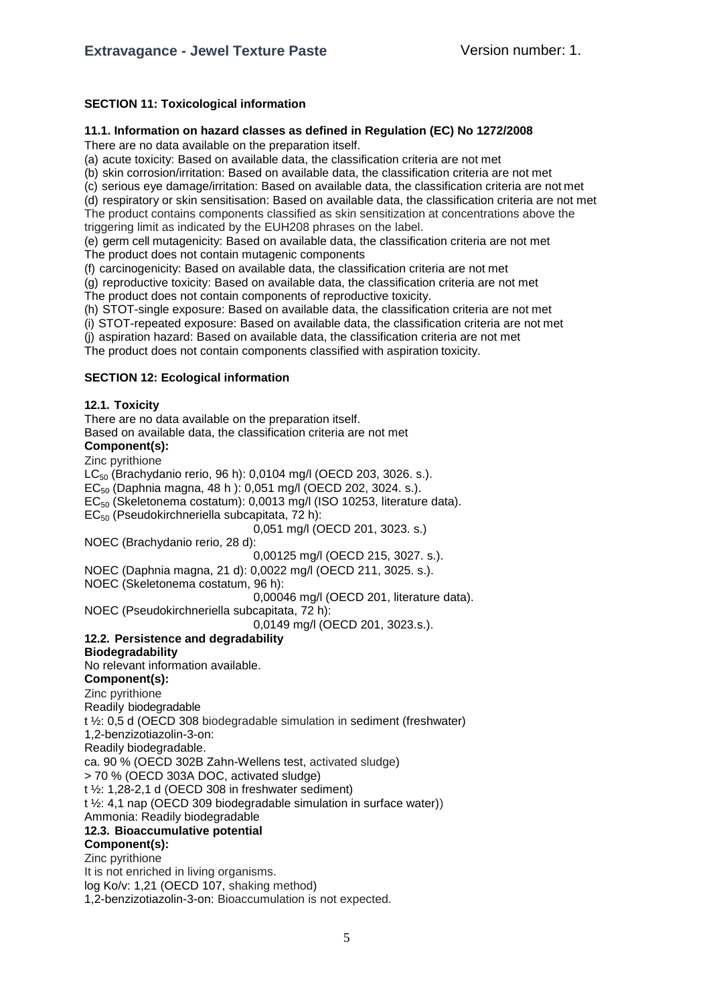## **SECTION 11: Toxicological information**

## **11.1. Information on hazard classes as defined in Regulation (EC) No 1272/2008**

There are no data available on the preparation itself.

(a) acute toxicity: Based on available data, the classification criteria are not met

(b) skin corrosion/irritation: Based on available data, the classification criteria are not met

(c) serious eye damage/irritation: Based on available data, the classification criteria are not met

(d) respiratory or skin sensitisation: Based on available data, the classification criteria are not met The product contains components classified as skin sensitization at concentrations above the

triggering limit as indicated by the EUH208 phrases on the label.

(e) germ cell mutagenicity: Based on available data, the classification criteria are not met The product does not contain mutagenic components

(f) carcinogenicity: Based on available data, the classification criteria are not met

(g) reproductive toxicity: Based on available data, the classification criteria are not met The product does not contain components of reproductive toxicity.

(h) STOT-single exposure: Based on available data, the classification criteria are not met

(i) STOT-repeated exposure: Based on available data, the classification criteria are not met

(j) aspiration hazard: Based on available data, the classification criteria are not met

The product does not contain components classified with aspiration toxicity.

# **SECTION 12: Ecological information**

# **12.1. Toxicity**

There are no data available on the preparation itself.

Based on available data, the classification criteria are not met

# **Component(s):**

Zinc pyrithione

LC<sub>50</sub> (Brachydanio rerio, 96 h): 0,0104 mg/l (OECD 203, 3026. s.).

 $EC_{50}$  (Daphnia magna, 48 h): 0,051 mg/l (OECD 202, 3024. s.).

EC<sup>50</sup> (Skeletonema costatum): 0,0013 mg/l (ISO 10253, literature data).

EC<sup>50</sup> (Pseudokirchneriella subcapitata, 72 h):

0,051 mg/l (OECD 201, 3023. s.)

NOEC (Brachydanio rerio, 28 d):

0,00125 mg/l (OECD 215, 3027. s.).

NOEC (Daphnia magna, 21 d): 0,0022 mg/l (OECD 211, 3025. s.).

NOEC (Skeletonema costatum, 96 h):

0,00046 mg/l (OECD 201, literature data).

NOEC (Pseudokirchneriella subcapitata, 72 h):

0,0149 mg/l (OECD 201, 3023.s.).

# **12.2. Persistence and degradability**

### **Biodegradability**

No relevant information available.

### **Component(s):**

Zinc pyrithione Readily biodegradable t ½: 0,5 d (OECD 308 biodegradable simulation in sediment (freshwater) 1,2-benzizotiazolin-3-on: Readily biodegradable. ca. 90 % (OECD 302B Zahn-Wellens test, activated sludge) > 70 % (OECD 303A DOC, activated sludge) t ½: 1,28-2,1 d (OECD 308 in freshwater sediment) t ½: 4,1 nap (OECD 309 biodegradable simulation in surface water)) Ammonia: Readily biodegradable **12.3. Bioaccumulative potential Component(s):** Zinc pyrithione It is not enriched in living organisms.

log Ko/v: 1,21 (OECD 107, shaking method)

1,2-benzizotiazolin-3-on: Bioaccumulation is not expected.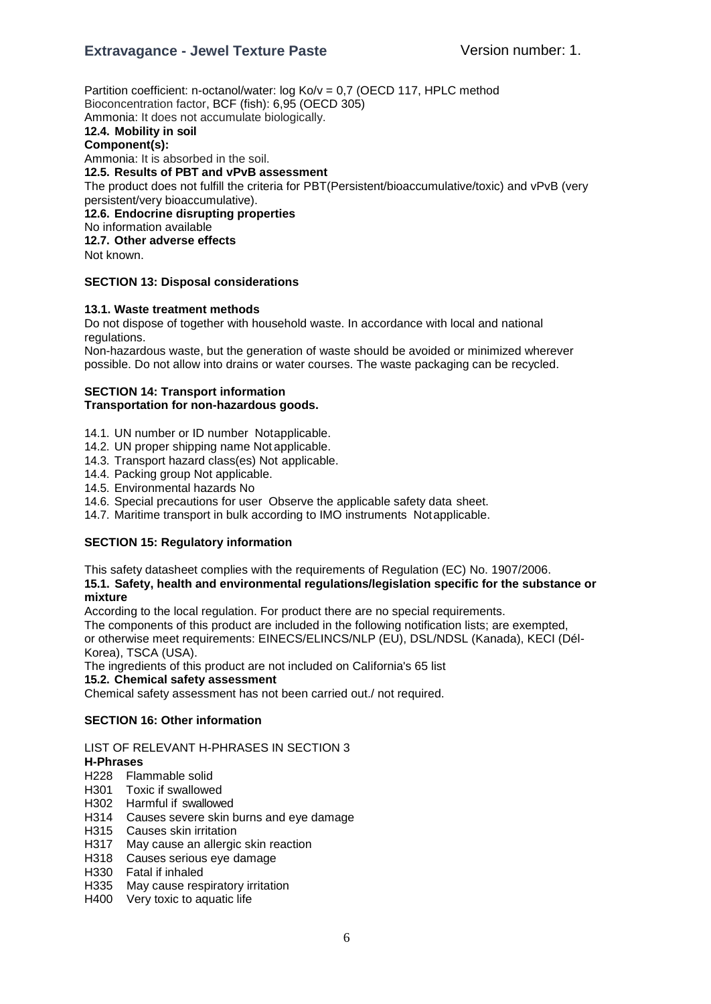# **Extravagance - Jewel Texture Paste** Version number: 1.

Partition coefficient: n-octanol/water: log Ko/v = 0,7 (OECD 117, HPLC method Bioconcentration factor, BCF (fish): 6,95 (OECD 305) Ammonia: It does not accumulate biologically. **12.4. Mobility in soil Component(s):** Ammonia: It is absorbed in the soil. **12.5. Results of PBT and vPvB assessment** The product does not fulfill the criteria for PBT(Persistent/bioaccumulative/toxic) and vPvB (very

persistent/very bioaccumulative). **12.6. Endocrine disrupting properties** No information available **12.7. Other adverse effects**

Not known.

#### **SECTION 13: Disposal considerations**

#### **13.1. Waste treatment methods**

Do not dispose of together with household waste. In accordance with local and national regulations.

Non-hazardous waste, but the generation of waste should be avoided or minimized wherever possible. Do not allow into drains or water courses. The waste packaging can be recycled.

#### **SECTION 14: Transport information Transportation for non-hazardous goods.**

- 14.1. UN number or ID number Notapplicable.
- 14.2. UN proper shipping name Not applicable.
- 14.3. Transport hazard class(es) Not applicable.
- 14.4. Packing group Not applicable.
- 14.5. Environmental hazards No
- 14.6. Special precautions for user Observe the applicable safety data sheet.
- 14.7. Maritime transport in bulk according to IMO instruments Notapplicable.

### **SECTION 15: Regulatory information**

This safety datasheet complies with the requirements of Regulation (EC) No. 1907/2006.

**15.1. Safety, health and environmental regulations/legislation specific for the substance or mixture**

According to the local regulation. For product there are no special requirements.

The components of this product are included in the following notification lists; are exempted, or otherwise meet requirements: EINECS/ELINCS/NLP (EU), DSL/NDSL (Kanada), KECI (Dél-Korea), TSCA (USA).

The ingredients of this product are not included on California's 65 list

#### **15.2. Chemical safety assessment**

Chemical safety assessment has not been carried out./ not required.

#### **SECTION 16: Other information**

LIST OF RELEVANT H-PHRASES IN SECTION 3

# **H-Phrases**

- H228 Flammable solid
- H301 Toxic if swallowed
- H302 Harmful if swallowed
- H314 Causes severe skin burns and eye damage
- H315 Causes skin irritation
- H317 May cause an allergic skin reaction
- H318 Causes serious eye damage
- H330 Fatal if inhaled
- H335 May cause respiratory irritation
- H400 Very toxic to aquatic life